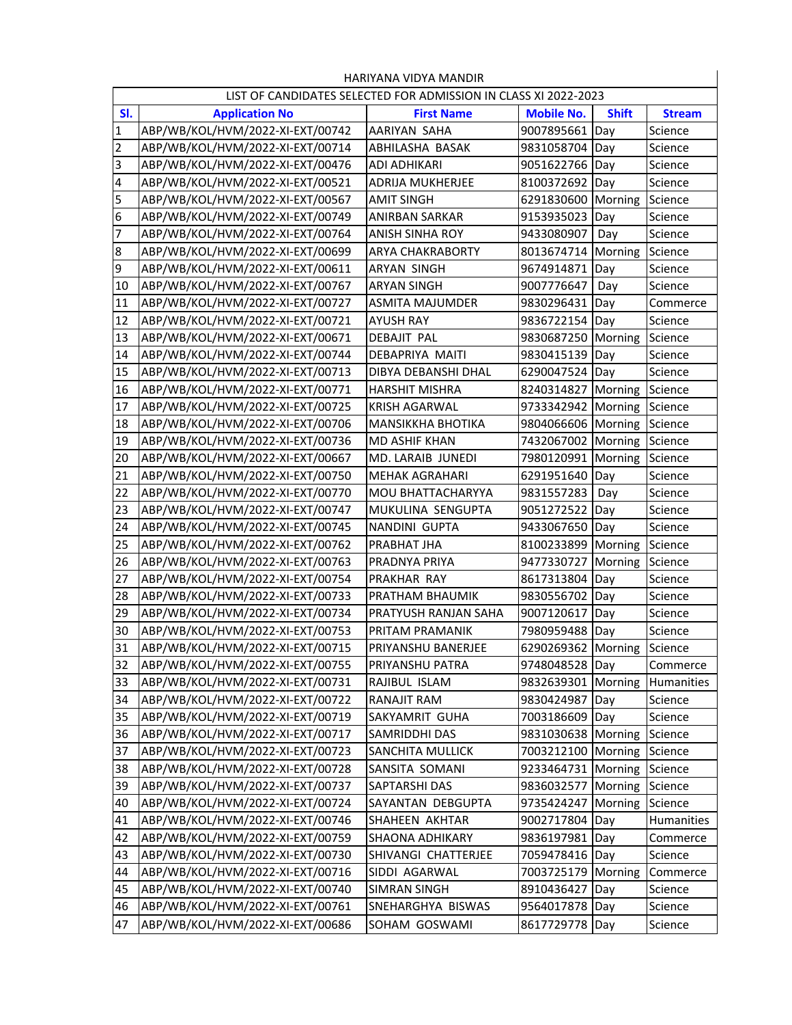| HARIYANA VIDYA MANDIR                                           |                                  |                          |                            |              |               |  |  |  |  |
|-----------------------------------------------------------------|----------------------------------|--------------------------|----------------------------|--------------|---------------|--|--|--|--|
| LIST OF CANDIDATES SELECTED FOR ADMISSION IN CLASS XI 2022-2023 |                                  |                          |                            |              |               |  |  |  |  |
| SI.                                                             | <b>Application No</b>            | <b>First Name</b>        | <b>Mobile No.</b>          | <b>Shift</b> | <b>Stream</b> |  |  |  |  |
| 1                                                               | ABP/WB/KOL/HVM/2022-XI-EXT/00742 | AARIYAN SAHA             | 9007895661                 | Day          | Science       |  |  |  |  |
| $\mathbf 2$                                                     | ABP/WB/KOL/HVM/2022-XI-EXT/00714 | ABHILASHA BASAK          | 9831058704                 | Day          | Science       |  |  |  |  |
| 3                                                               | ABP/WB/KOL/HVM/2022-XI-EXT/00476 | ADI ADHIKARI             | 9051622766                 | Day          | Science       |  |  |  |  |
| 4                                                               | ABP/WB/KOL/HVM/2022-XI-EXT/00521 | ADRIJA MUKHERJEE         | 8100372692                 | Day          | Science       |  |  |  |  |
| 5                                                               | ABP/WB/KOL/HVM/2022-XI-EXT/00567 | <b>AMIT SINGH</b>        | 6291830600                 | Morning      | Science       |  |  |  |  |
| 6                                                               | ABP/WB/KOL/HVM/2022-XI-EXT/00749 | <b>ANIRBAN SARKAR</b>    | 9153935023                 | Day          | Science       |  |  |  |  |
| 7                                                               | ABP/WB/KOL/HVM/2022-XI-EXT/00764 | ANISH SINHA ROY          | 9433080907                 | Day          | Science       |  |  |  |  |
| 8                                                               | ABP/WB/KOL/HVM/2022-XI-EXT/00699 | <b>ARYA CHAKRABORTY</b>  | 8013674714                 | Morning      | Science       |  |  |  |  |
| $\overline{9}$                                                  | ABP/WB/KOL/HVM/2022-XI-EXT/00611 | ARYAN SINGH              | 9674914871                 | Day          | Science       |  |  |  |  |
| 10                                                              | ABP/WB/KOL/HVM/2022-XI-EXT/00767 | <b>ARYAN SINGH</b>       | 9007776647                 | Day          | Science       |  |  |  |  |
| 11                                                              | ABP/WB/KOL/HVM/2022-XI-EXT/00727 | <b>ASMITA MAJUMDER</b>   | 9830296431                 | Day          | Commerce      |  |  |  |  |
| 12                                                              | ABP/WB/KOL/HVM/2022-XI-EXT/00721 | <b>AYUSH RAY</b>         | 9836722154                 | Day          | Science       |  |  |  |  |
| 13                                                              | ABP/WB/KOL/HVM/2022-XI-EXT/00671 | <b>DEBAJIT PAL</b>       | 9830687250                 | Morning      | Science       |  |  |  |  |
| 14                                                              | ABP/WB/KOL/HVM/2022-XI-EXT/00744 | DEBAPRIYA MAITI          | 9830415139                 | Day          | Science       |  |  |  |  |
| 15                                                              | ABP/WB/KOL/HVM/2022-XI-EXT/00713 | DIBYA DEBANSHI DHAL      | 6290047524                 | Day          | Science       |  |  |  |  |
| 16                                                              | ABP/WB/KOL/HVM/2022-XI-EXT/00771 | <b>HARSHIT MISHRA</b>    | 8240314827                 | Morning      | Science       |  |  |  |  |
| 17                                                              | ABP/WB/KOL/HVM/2022-XI-EXT/00725 | <b>KRISH AGARWAL</b>     | 9733342942 Morning         |              | Science       |  |  |  |  |
| 18                                                              | ABP/WB/KOL/HVM/2022-XI-EXT/00706 | <b>MANSIKKHA BHOTIKA</b> | 9804066606                 | Morning      | Science       |  |  |  |  |
| 19                                                              | ABP/WB/KOL/HVM/2022-XI-EXT/00736 | <b>MD ASHIF KHAN</b>     | 7432067002                 | Morning      | Science       |  |  |  |  |
| 20                                                              | ABP/WB/KOL/HVM/2022-XI-EXT/00667 | MD. LARAIB JUNEDI        | 7980120991                 | Morning      | Science       |  |  |  |  |
| 21                                                              | ABP/WB/KOL/HVM/2022-XI-EXT/00750 | <b>MEHAK AGRAHARI</b>    | 6291951640                 | Day          | Science       |  |  |  |  |
| 22                                                              | ABP/WB/KOL/HVM/2022-XI-EXT/00770 | MOU BHATTACHARYYA        | 9831557283                 | Day          | Science       |  |  |  |  |
| 23                                                              | ABP/WB/KOL/HVM/2022-XI-EXT/00747 | MUKULINA SENGUPTA        | 9051272522                 | Day          | Science       |  |  |  |  |
| 24                                                              | ABP/WB/KOL/HVM/2022-XI-EXT/00745 | NANDINI GUPTA            | 9433067650                 | Day          | Science       |  |  |  |  |
| 25                                                              | ABP/WB/KOL/HVM/2022-XI-EXT/00762 | PRABHAT JHA              | 8100233899                 | Morning      | Science       |  |  |  |  |
| 26                                                              | ABP/WB/KOL/HVM/2022-XI-EXT/00763 | PRADNYA PRIYA            | 9477330727                 | Morning      | Science       |  |  |  |  |
| 27                                                              | ABP/WB/KOL/HVM/2022-XI-EXT/00754 | PRAKHAR RAY              | 8617313804                 | Day          | Science       |  |  |  |  |
| 28                                                              | ABP/WB/KOL/HVM/2022-XI-EXT/00733 | PRATHAM BHAUMIK          | 9830556702                 | Day          | Science       |  |  |  |  |
| 29                                                              | ABP/WB/KOL/HVM/2022-XI-EXT/00734 | PRATYUSH RANJAN SAHA     | 9007120617                 | Day          | Science       |  |  |  |  |
| 30                                                              | ABP/WB/KOL/HVM/2022-XI-EXT/00753 | PRITAM PRAMANIK          | 7980959488                 | Day          | Science       |  |  |  |  |
| 31                                                              | ABP/WB/KOL/HVM/2022-XI-EXT/00715 | PRIYANSHU BANERJEE       | 6290269362 Morning Science |              |               |  |  |  |  |
| 32                                                              | ABP/WB/KOL/HVM/2022-XI-EXT/00755 | PRIYANSHU PATRA          | 9748048528 Day             |              | Commerce      |  |  |  |  |
| 33                                                              | ABP/WB/KOL/HVM/2022-XI-EXT/00731 | RAJIBUL ISLAM            | 9832639301                 | Morning      | Humanities    |  |  |  |  |
| 34                                                              | ABP/WB/KOL/HVM/2022-XI-EXT/00722 | RANAJIT RAM              | 9830424987                 | Day          | Science       |  |  |  |  |
| 35                                                              | ABP/WB/KOL/HVM/2022-XI-EXT/00719 | SAKYAMRIT GUHA           | 7003186609                 | Day          | Science       |  |  |  |  |
| 36                                                              | ABP/WB/KOL/HVM/2022-XI-EXT/00717 | SAMRIDDHI DAS            | 9831030638                 | Morning      | Science       |  |  |  |  |
| 37                                                              | ABP/WB/KOL/HVM/2022-XI-EXT/00723 | SANCHITA MULLICK         | 7003212100                 | Morning      | Science       |  |  |  |  |
| 38                                                              | ABP/WB/KOL/HVM/2022-XI-EXT/00728 | SANSITA SOMANI           | 9233464731                 | Morning      | Science       |  |  |  |  |
| 39                                                              | ABP/WB/KOL/HVM/2022-XI-EXT/00737 | SAPTARSHI DAS            | 9836032577                 | Morning      | Science       |  |  |  |  |
| 40                                                              | ABP/WB/KOL/HVM/2022-XI-EXT/00724 | SAYANTAN DEBGUPTA        | 9735424247                 | Morning      | Science       |  |  |  |  |
| 41                                                              | ABP/WB/KOL/HVM/2022-XI-EXT/00746 | SHAHEEN AKHTAR           | 9002717804                 | Day          | Humanities    |  |  |  |  |
| 42                                                              | ABP/WB/KOL/HVM/2022-XI-EXT/00759 | <b>SHAONA ADHIKARY</b>   | 9836197981                 | Day          | Commerce      |  |  |  |  |
| 43                                                              | ABP/WB/KOL/HVM/2022-XI-EXT/00730 | SHIVANGI CHATTERJEE      | 7059478416                 | Day          | Science       |  |  |  |  |
| 44                                                              | ABP/WB/KOL/HVM/2022-XI-EXT/00716 | SIDDI AGARWAL            | 7003725179                 | Morning      | Commerce      |  |  |  |  |
| 45                                                              | ABP/WB/KOL/HVM/2022-XI-EXT/00740 | SIMRAN SINGH             | 8910436427                 | Day          | Science       |  |  |  |  |
| 46                                                              | ABP/WB/KOL/HVM/2022-XI-EXT/00761 | SNEHARGHYA BISWAS        | 9564017878                 | Day          | Science       |  |  |  |  |
| 47                                                              | ABP/WB/KOL/HVM/2022-XI-EXT/00686 | SOHAM GOSWAMI            | 8617729778                 | Day          | Science       |  |  |  |  |